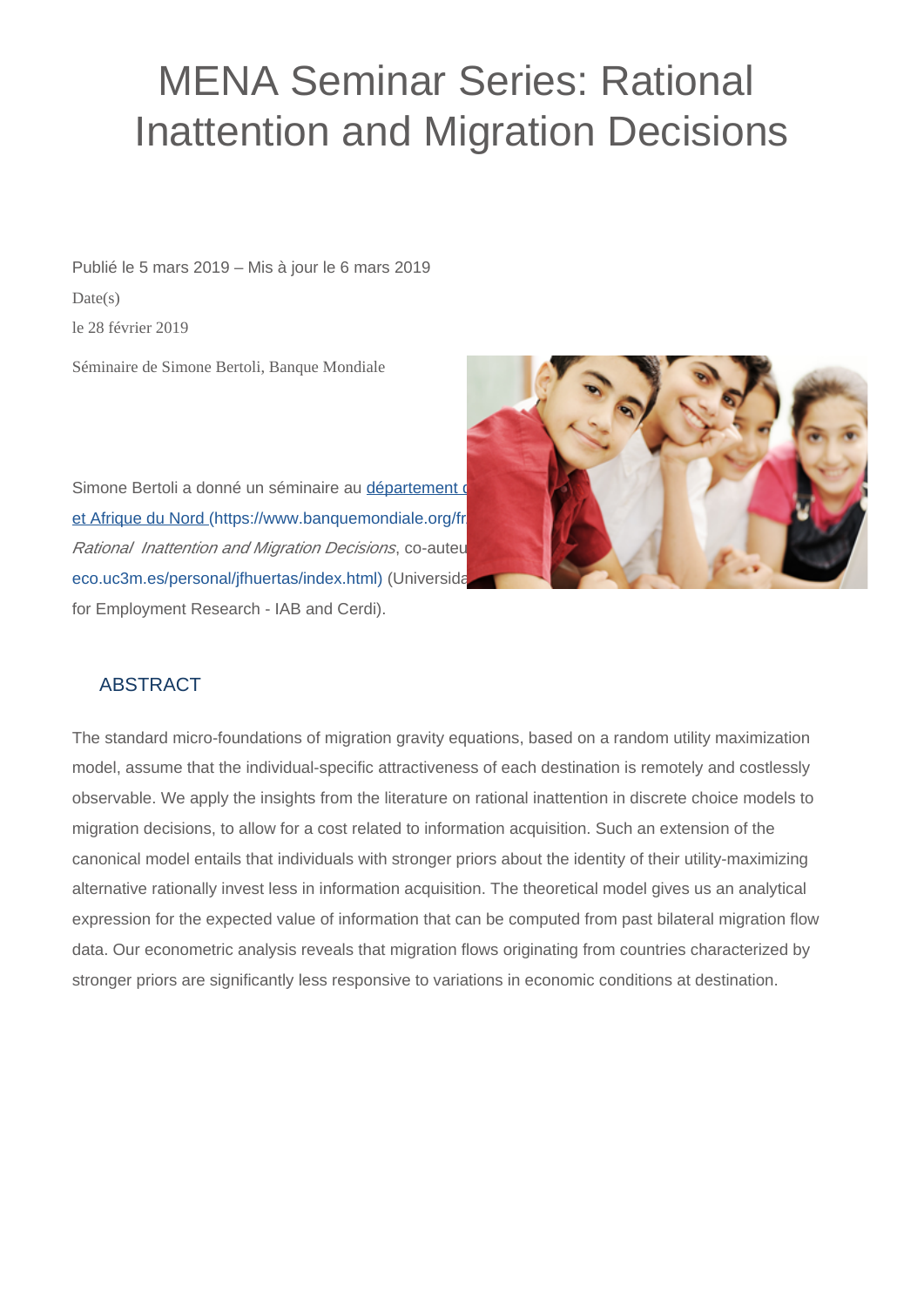## MENA Seminar Series: Rational Inattention and Migration Decisions

Publié le 5 mars 2019 – Mis à jour le 6 mars 2019  $Date(s)$ le 28 février 2019

Séminaire de Simone Bertoli, Banque Mondiale





## ABSTRACT

The standard micro-foundations of migration gravity equations, based on a random utility maximization model, assume that the individual-specific attractiveness of each destination is remotely and costlessly observable. We apply the insights from the literature on rational inattention in discrete choice models to migration decisions, to allow for a cost related to information acquisition. Such an extension of the canonical model entails that individuals with stronger priors about the identity of their utility-maximizing alternative rationally invest less in information acquisition. The theoretical model gives us an analytical expression for the expected value of information that can be computed from past bilateral migration flow data. Our econometric analysis reveals that migration flows originating from countries characterized by stronger priors are significantly less responsive to variations in economic conditions at destination.